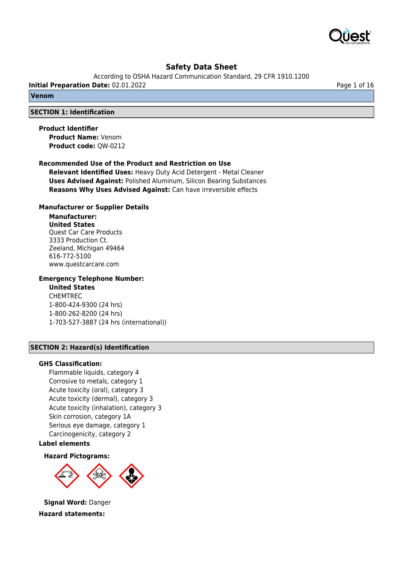

According to OSHA Hazard Communication Standard, 29 CFR 1910.1200

**Initial Preparation Date:** 02.01.2022 **Page 1 of 16** 

**Venom**

#### **SECTION 1: Identification**

**Product Identifier**

**Product Name:** Venom **Product code:** QW-0212

#### **Recommended Use of the Product and Restriction on Use**

**Relevant Identified Uses:** Heavy Duty Acid Detergent - Metal Cleaner **Uses Advised Against:** Polished Aluminum, Silicon Bearing Substances **Reasons Why Uses Advised Against:** Can have irreversible effects

#### **Manufacturer or Supplier Details**

# **Manufacturer:**

**United States** Quest Car Care Products 3333 Production Ct. Zeeland, Michigan 49464 616-772-5100 www.questcarcare.com

# **Emergency Telephone Number:**

## **United States**

CHEMTREC 1-800-424-9300 (24 hrs) 1-800-262-8200 (24 hrs) 1-703-527-3887 (24 hrs (international))

#### **SECTION 2: Hazard(s) Identification**

#### **GHS Classification:**

Flammable liquids, category 4 Corrosive to metals, category 1 Acute toxicity (oral), category 3 Acute toxicity (dermal), category 3 Acute toxicity (inhalation), category 3 Skin corrosion, category 1A Serious eye damage, category 1 Carcinogenicity, category 2

**Label elements**

**Hazard Pictograms:**



**Signal Word:** Danger **Hazard statements:**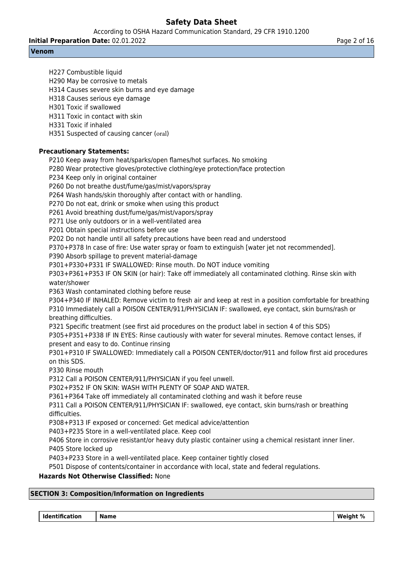According to OSHA Hazard Communication Standard, 29 CFR 1910.1200

**Initial Preparation Date:** 02.01.2022 **Page 2 of 16** Page 2 of 16

# **Venom**

H227 Combustible liquid H290 May be corrosive to metals H314 Causes severe skin burns and eye damage H318 Causes serious eye damage H301 Toxic if swallowed H311 Toxic in contact with skin H331 Toxic if inhaled H351 Suspected of causing cancer (oral) **Precautionary Statements:** P210 Keep away from heat/sparks/open flames/hot surfaces. No smoking P280 Wear protective gloves/protective clothing/eye protection/face protection P234 Keep only in original container P260 Do not breathe dust/fume/gas/mist/vapors/spray P264 Wash hands/skin thoroughly after contact with or handling. P270 Do not eat, drink or smoke when using this product P261 Avoid breathing dust/fume/gas/mist/vapors/spray P271 Use only outdoors or in a well-ventilated area P201 Obtain special instructions before use P202 Do not handle until all safety precautions have been read and understood P370+P378 In case of fire: Use water spray or foam to extinguish [water jet not recommended]. P390 Absorb spillage to prevent material-damage P301+P330+P331 IF SWALLOWED: Rinse mouth. Do NOT induce vomiting P303+P361+P353 IF ON SKIN (or hair): Take off immediately all contaminated clothing. Rinse skin with water/shower P363 Wash contaminated clothing before reuse P304+P340 IF INHALED: Remove victim to fresh air and keep at rest in a position comfortable for breathing P310 Immediately call a POISON CENTER/911/PHYSICIAN IF: swallowed, eye contact, skin burns/rash or breathing difficulties. P321 Specific treatment (see first aid procedures on the product label in section 4 of this SDS) P305+P351+P338 IF IN EYES: Rinse cautiously with water for several minutes. Remove contact lenses, if present and easy to do. Continue rinsing

P301+P310 IF SWALLOWED: Immediately call a POISON CENTER/doctor/911 and follow first aid procedures on this SDS.

P330 Rinse mouth

P312 Call a POISON CENTER/911/PHYSICIAN if you feel unwell.

P302+P352 IF ON SKIN: WASH WITH PLENTY OF SOAP AND WATER.

P361+P364 Take off immediately all contaminated clothing and wash it before reuse

P311 Call a POISON CENTER/911/PHYSICIAN IF: swallowed, eye contact, skin burns/rash or breathing difficulties.

P308+P313 IF exposed or concerned: Get medical advice/attention

P403+P235 Store in a well-ventilated place. Keep cool

P406 Store in corrosive resistant/or heavy duty plastic container using a chemical resistant inner liner. P405 Store locked up

P403+P233 Store in a well-ventilated place. Keep container tightly closed

P501 Dispose of contents/container in accordance with local, state and federal regulations.

# **Hazards Not Otherwise Classified:** None

# **SECTION 3: Composition/Information on Ingredients**

 **Identification Name Name Research 2016**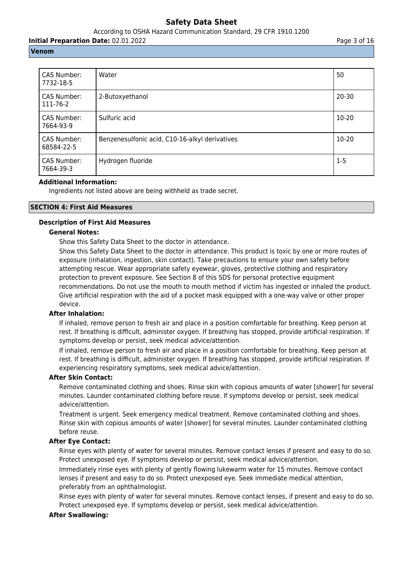According to OSHA Hazard Communication Standard, 29 CFR 1910.1200

**Initial Preparation Date:** 02.01.2022 **Page 3 of 16** Page 3 of 16

# **Venom**

| CAS Number:<br>7732-18-5  | Water                                          | 50        |
|---------------------------|------------------------------------------------|-----------|
| CAS Number:<br>111-76-2   | 2-Butoxyethanol                                | $20 - 30$ |
| CAS Number:<br>7664-93-9  | Sulfuric acid                                  | $10 - 20$ |
| CAS Number:<br>68584-22-5 | Benzenesulfonic acid, C10-16-alkyl derivatives | 10-20     |
| CAS Number:<br>7664-39-3  | Hydrogen fluoride                              | $1-5$     |

# **Additional Information:**

Ingredients not listed above are being withheld as trade secret.

# **SECTION 4: First Aid Measures**

# **Description of First Aid Measures**

# **General Notes:**

Show this Safety Data Sheet to the doctor in attendance.

Show this Safety Data Sheet to the doctor in attendance. This product is toxic by one or more routes of exposure (inhalation, ingestion, skin contact). Take precautions to ensure your own safety before attempting rescue. Wear appropriate safety eyewear, gloves, protective clothing and respiratory protection to prevent exposure. See Section 8 of this SDS for personal protective equipment recommendations. Do not use the mouth to mouth method if victim has ingested or inhaled the product. Give artificial respiration with the aid of a pocket mask equipped with a one-way valve or other proper device.

# **After Inhalation:**

If inhaled, remove person to fresh air and place in a position comfortable for breathing. Keep person at rest. If breathing is difficult, administer oxygen. If breathing has stopped, provide artificial respiration. If symptoms develop or persist, seek medical advice/attention.

If inhaled, remove person to fresh air and place in a position comfortable for breathing. Keep person at rest. If breathing is difficult, administer oxygen. If breathing has stopped, provide artificial respiration. If experiencing respiratory symptoms, seek medical advice/attention.

# **After Skin Contact:**

Remove contaminated clothing and shoes. Rinse skin with copious amounts of water [shower] for several minutes. Launder contaminated clothing before reuse. If symptoms develop or persist, seek medical advice/attention.

Treatment is urgent. Seek emergency medical treatment. Remove contaminated clothing and shoes. Rinse skin with copious amounts of water [shower] for several minutes. Launder contaminated clothing before reuse.

# **After Eye Contact:**

Rinse eyes with plenty of water for several minutes. Remove contact lenses if present and easy to do so. Protect unexposed eye. If symptoms develop or persist, seek medical advice/attention.

Immediately rinse eyes with plenty of gently flowing lukewarm water for 15 minutes. Remove contact lenses if present and easy to do so. Protect unexposed eye. Seek immediate medical attention, preferably from an ophthalmologist.

Rinse eyes with plenty of water for several minutes. Remove contact lenses, if present and easy to do so. Protect unexposed eye. If symptoms develop or persist, seek medical advice/attention.

# **After Swallowing:**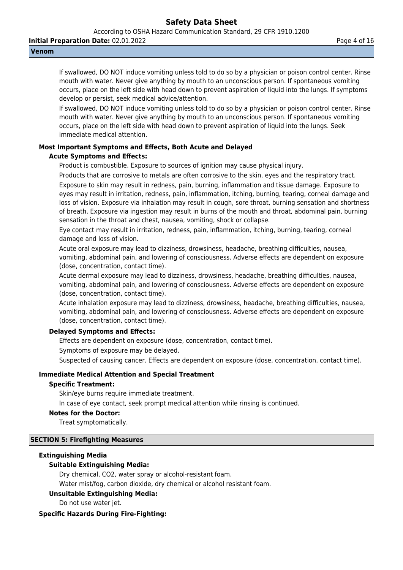According to OSHA Hazard Communication Standard, 29 CFR 1910.1200

**Initial Preparation Date:** 02.01.2022 **Page 4 of 16** 

#### **Venom**

If swallowed, DO NOT induce vomiting unless told to do so by a physician or poison control center. Rinse mouth with water. Never give anything by mouth to an unconscious person. If spontaneous vomiting occurs, place on the left side with head down to prevent aspiration of liquid into the lungs. If symptoms develop or persist, seek medical advice/attention.

If swallowed, DO NOT induce vomiting unless told to do so by a physician or poison control center. Rinse mouth with water. Never give anything by mouth to an unconscious person. If spontaneous vomiting occurs, place on the left side with head down to prevent aspiration of liquid into the lungs. Seek immediate medical attention.

# **Most Important Symptoms and Effects, Both Acute and Delayed**

## **Acute Symptoms and Effects:**

Product is combustible. Exposure to sources of ignition may cause physical injury.

Products that are corrosive to metals are often corrosive to the skin, eyes and the respiratory tract. Exposure to skin may result in redness, pain, burning, inflammation and tissue damage. Exposure to eyes may result in irritation, redness, pain, inflammation, itching, burning, tearing, corneal damage and loss of vision. Exposure via inhalation may result in cough, sore throat, burning sensation and shortness of breath. Exposure via ingestion may result in burns of the mouth and throat, abdominal pain, burning sensation in the throat and chest, nausea, vomiting, shock or collapse.

Eye contact may result in irritation, redness, pain, inflammation, itching, burning, tearing, corneal damage and loss of vision.

Acute oral exposure may lead to dizziness, drowsiness, headache, breathing difficulties, nausea, vomiting, abdominal pain, and lowering of consciousness. Adverse effects are dependent on exposure (dose, concentration, contact time).

Acute dermal exposure may lead to dizziness, drowsiness, headache, breathing difficulties, nausea, vomiting, abdominal pain, and lowering of consciousness. Adverse effects are dependent on exposure (dose, concentration, contact time).

Acute inhalation exposure may lead to dizziness, drowsiness, headache, breathing difficulties, nausea, vomiting, abdominal pain, and lowering of consciousness. Adverse effects are dependent on exposure (dose, concentration, contact time).

# **Delayed Symptoms and Effects:**

Effects are dependent on exposure (dose, concentration, contact time). Symptoms of exposure may be delayed.

Suspected of causing cancer. Effects are dependent on exposure (dose, concentration, contact time).

# **Immediate Medical Attention and Special Treatment**

#### **Specific Treatment:**

Skin/eye burns require immediate treatment.

In case of eye contact, seek prompt medical attention while rinsing is continued.

#### **Notes for the Doctor:**

Treat symptomatically.

#### **SECTION 5: Firefighting Measures**

#### **Extinguishing Media**

# **Suitable Extinguishing Media:**

Dry chemical, CO2, water spray or alcohol-resistant foam.

Water mist/fog, carbon dioxide, dry chemical or alcohol resistant foam.

# **Unsuitable Extinguishing Media:**

Do not use water jet.

# **Specific Hazards During Fire-Fighting:**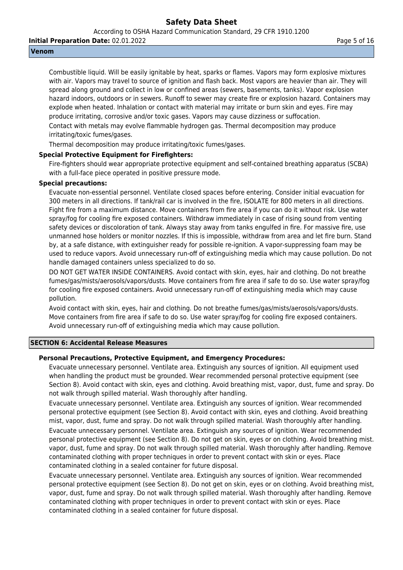According to OSHA Hazard Communication Standard, 29 CFR 1910.1200

**Initial Preparation Date:** 02.01.2022 **Page 16 and 2011** Page 5 of 16

#### **Venom**

Combustible liquid. Will be easily ignitable by heat, sparks or flames. Vapors may form explosive mixtures with air. Vapors may travel to source of ignition and flash back. Most vapors are heavier than air. They will spread along ground and collect in low or confined areas (sewers, basements, tanks). Vapor explosion hazard indoors, outdoors or in sewers. Runoff to sewer may create fire or explosion hazard. Containers may explode when heated. Inhalation or contact with material may irritate or burn skin and eyes. Fire may produce irritating, corrosive and/or toxic gases. Vapors may cause dizziness or suffocation. Contact with metals may evolve flammable hydrogen gas. Thermal decomposition may produce irritating/toxic fumes/gases.

Thermal decomposition may produce irritating/toxic fumes/gases.

## **Special Protective Equipment for Firefighters:**

Fire-fighters should wear appropriate protective equipment and self-contained breathing apparatus (SCBA) with a full-face piece operated in positive pressure mode.

# **Special precautions:**

Evacuate non-essential personnel. Ventilate closed spaces before entering. Consider initial evacuation for 300 meters in all directions. If tank/rail car is involved in the fire, ISOLATE for 800 meters in all directions. Fight fire from a maximum distance. Move containers from fire area if you can do it without risk. Use water spray/fog for cooling fire exposed containers. Withdraw immediately in case of rising sound from venting safety devices or discoloration of tank. Always stay away from tanks engulfed in fire. For massive fire, use unmanned hose holders or monitor nozzles. If this is impossible, withdraw from area and let fire burn. Stand by, at a safe distance, with extinguisher ready for possible re-ignition. A vapor-suppressing foam may be used to reduce vapors. Avoid unnecessary run-off of extinguishing media which may cause pollution. Do not handle damaged containers unless specialized to do so.

DO NOT GET WATER INSIDE CONTAINERS. Avoid contact with skin, eyes, hair and clothing. Do not breathe fumes/gas/mists/aerosols/vapors/dusts. Move containers from fire area if safe to do so. Use water spray/fog for cooling fire exposed containers. Avoid unnecessary run-off of extinguishing media which may cause pollution.

Avoid contact with skin, eyes, hair and clothing. Do not breathe fumes/gas/mists/aerosols/vapors/dusts. Move containers from fire area if safe to do so. Use water spray/fog for cooling fire exposed containers. Avoid unnecessary run-off of extinguishing media which may cause pollution.

### **SECTION 6: Accidental Release Measures**

#### **Personal Precautions, Protective Equipment, and Emergency Procedures:**

Evacuate unnecessary personnel. Ventilate area. Extinguish any sources of ignition. All equipment used when handling the product must be grounded. Wear recommended personal protective equipment (see Section 8). Avoid contact with skin, eyes and clothing. Avoid breathing mist, vapor, dust, fume and spray. Do not walk through spilled material. Wash thoroughly after handling.

Evacuate unnecessary personnel. Ventilate area. Extinguish any sources of ignition. Wear recommended personal protective equipment (see Section 8). Avoid contact with skin, eyes and clothing. Avoid breathing mist, vapor, dust, fume and spray. Do not walk through spilled material. Wash thoroughly after handling. Evacuate unnecessary personnel. Ventilate area. Extinguish any sources of ignition. Wear recommended personal protective equipment (see Section 8). Do not get on skin, eyes or on clothing. Avoid breathing mist. vapor, dust, fume and spray. Do not walk through spilled material. Wash thoroughly after handling. Remove contaminated clothing with proper techniques in order to prevent contact with skin or eyes. Place contaminated clothing in a sealed container for future disposal.

Evacuate unnecessary personnel. Ventilate area. Extinguish any sources of ignition. Wear recommended personal protective equipment (see Section 8). Do not get on skin, eyes or on clothing. Avoid breathing mist, vapor, dust, fume and spray. Do not walk through spilled material. Wash thoroughly after handling. Remove contaminated clothing with proper techniques in order to prevent contact with skin or eyes. Place contaminated clothing in a sealed container for future disposal.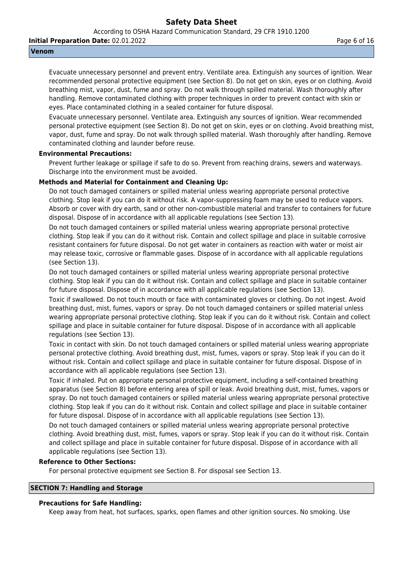According to OSHA Hazard Communication Standard, 29 CFR 1910.1200

**Initial Preparation Date:** 02.01.2022 **Page 6 of 16** 

#### **Venom**

Evacuate unnecessary personnel and prevent entry. Ventilate area. Extinguish any sources of ignition. Wear recommended personal protective equipment (see Section 8). Do not get on skin, eyes or on clothing. Avoid breathing mist, vapor, dust, fume and spray. Do not walk through spilled material. Wash thoroughly after handling. Remove contaminated clothing with proper techniques in order to prevent contact with skin or eyes. Place contaminated clothing in a sealed container for future disposal.

Evacuate unnecessary personnel. Ventilate area. Extinguish any sources of ignition. Wear recommended personal protective equipment (see Section 8). Do not get on skin, eyes or on clothing. Avoid breathing mist, vapor, dust, fume and spray. Do not walk through spilled material. Wash thoroughly after handling. Remove contaminated clothing and launder before reuse.

## **Environmental Precautions:**

Prevent further leakage or spillage if safe to do so. Prevent from reaching drains, sewers and waterways. Discharge into the environment must be avoided.

## **Methods and Material for Containment and Cleaning Up:**

Do not touch damaged containers or spilled material unless wearing appropriate personal protective clothing. Stop leak if you can do it without risk. A vapor-suppressing foam may be used to reduce vapors. Absorb or cover with dry earth, sand or other non-combustible material and transfer to containers for future disposal. Dispose of in accordance with all applicable regulations (see Section 13).

Do not touch damaged containers or spilled material unless wearing appropriate personal protective clothing. Stop leak if you can do it without risk. Contain and collect spillage and place in suitable corrosive resistant containers for future disposal. Do not get water in containers as reaction with water or moist air may release toxic, corrosive or flammable gases. Dispose of in accordance with all applicable regulations (see Section 13).

Do not touch damaged containers or spilled material unless wearing appropriate personal protective clothing. Stop leak if you can do it without risk. Contain and collect spillage and place in suitable container for future disposal. Dispose of in accordance with all applicable regulations (see Section 13).

Toxic if swallowed. Do not touch mouth or face with contaminated gloves or clothing. Do not ingest. Avoid breathing dust, mist, fumes, vapors or spray. Do not touch damaged containers or spilled material unless wearing appropriate personal protective clothing. Stop leak if you can do it without risk. Contain and collect spillage and place in suitable container for future disposal. Dispose of in accordance with all applicable regulations (see Section 13).

Toxic in contact with skin. Do not touch damaged containers or spilled material unless wearing appropriate personal protective clothing. Avoid breathing dust, mist, fumes, vapors or spray. Stop leak if you can do it without risk. Contain and collect spillage and place in suitable container for future disposal. Dispose of in accordance with all applicable regulations (see Section 13).

Toxic if inhaled. Put on appropriate personal protective equipment, including a self-contained breathing apparatus (see Section 8) before entering area of spill or leak. Avoid breathing dust, mist, fumes, vapors or spray. Do not touch damaged containers or spilled material unless wearing appropriate personal protective clothing. Stop leak if you can do it without risk. Contain and collect spillage and place in suitable container for future disposal. Dispose of in accordance with all applicable regulations (see Section 13).

Do not touch damaged containers or spilled material unless wearing appropriate personal protective clothing. Avoid breathing dust, mist, fumes, vapors or spray. Stop leak if you can do it without risk. Contain and collect spillage and place in suitable container for future disposal. Dispose of in accordance with all applicable regulations (see Section 13).

#### **Reference to Other Sections:**

For personal protective equipment see Section 8. For disposal see Section 13.

## **SECTION 7: Handling and Storage**

#### **Precautions for Safe Handling:**

Keep away from heat, hot surfaces, sparks, open flames and other ignition sources. No smoking. Use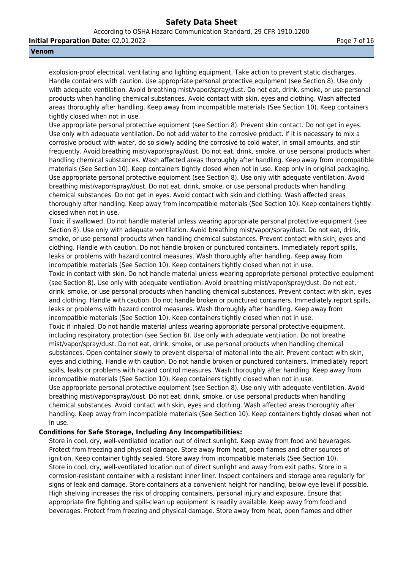According to OSHA Hazard Communication Standard, 29 CFR 1910.1200

**Initial Preparation Date:** 02.01.2022 **Page 7 of 16** Page 7 of 16

#### **Venom**

explosion-proof electrical, ventilating and lighting equipment. Take action to prevent static discharges. Handle containers with caution. Use appropriate personal protective equipment (see Section 8). Use only with adequate ventilation. Avoid breathing mist/vapor/spray/dust. Do not eat, drink, smoke, or use personal products when handling chemical substances. Avoid contact with skin, eyes and clothing. Wash affected areas thoroughly after handling. Keep away from incompatible materials (See Section 10). Keep containers tightly closed when not in use.

Use appropriate personal protective equipment (see Section 8). Prevent skin contact. Do not get in eyes. Use only with adequate ventilation. Do not add water to the corrosive product. If it is necessary to mix a corrosive product with water, do so slowly adding the corrosive to cold water, in small amounts, and stir frequently. Avoid breathing mist/vapor/spray/dust. Do not eat, drink, smoke, or use personal products when handling chemical substances. Wash affected areas thoroughly after handling. Keep away from incompatible materials (See Section 10). Keep containers tightly closed when not in use. Keep only in original packaging. Use appropriate personal protective equipment (see Section 8). Use only with adequate ventilation. Avoid breathing mist/vapor/spray/dust. Do not eat, drink, smoke, or use personal products when handling chemical substances. Do not get in eyes. Avoid contact with skin and clothing. Wash affected areas thoroughly after handling. Keep away from incompatible materials (See Section 10). Keep containers tightly closed when not in use.

Toxic if swallowed. Do not handle material unless wearing appropriate personal protective equipment (see Section 8). Use only with adequate ventilation. Avoid breathing mist/vapor/spray/dust. Do not eat, drink, smoke, or use personal products when handling chemical substances. Prevent contact with skin, eyes and clothing. Handle with caution. Do not handle broken or punctured containers. Immediately report spills, leaks or problems with hazard control measures. Wash thoroughly after handling. Keep away from incompatible materials (See Section 10). Keep containers tightly closed when not in use.

Toxic in contact with skin. Do not handle material unless wearing appropriate personal protective equipment (see Section 8). Use only with adequate ventilation. Avoid breathing mist/vapor/spray/dust. Do not eat, drink, smoke, or use personal products when handling chemical substances. Prevent contact with skin, eyes and clothing. Handle with caution. Do not handle broken or punctured containers. Immediately report spills, leaks or problems with hazard control measures. Wash thoroughly after handling. Keep away from incompatible materials (See Section 10). Keep containers tightly closed when not in use.

Toxic if inhaled. Do not handle material unless wearing appropriate personal protective equipment, including respiratory protection (see Section 8). Use only with adequate ventilation. Do not breathe mist/vapor/spray/dust. Do not eat, drink, smoke, or use personal products when handling chemical substances. Open container slowly to prevent dispersal of material into the air. Prevent contact with skin, eyes and clothing. Handle with caution. Do not handle broken or punctured containers. Immediately report spills, leaks or problems with hazard control measures. Wash thoroughly after handling. Keep away from incompatible materials (See Section 10). Keep containers tightly closed when not in use.

Use appropriate personal protective equipment (see Section 8). Use only with adequate ventilation. Avoid breathing mist/vapor/spray/dust. Do not eat, drink, smoke, or use personal products when handling chemical substances. Avoid contact with skin, eyes and clothing. Wash affected areas thoroughly after handling. Keep away from incompatible materials (See Section 10). Keep containers tightly closed when not in use.

#### **Conditions for Safe Storage, Including Any Incompatibilities:**

Store in cool, dry, well-ventilated location out of direct sunlight. Keep away from food and beverages. Protect from freezing and physical damage. Store away from heat, open flames and other sources of ignition. Keep container tightly sealed. Store away from incompatible materials (See Section 10). Store in cool, dry, well-ventilated location out of direct sunlight and away from exit paths. Store in a corrosion-resistant container with a resistant inner liner. Inspect containers and storage area regularly for signs of leak and damage. Store containers at a convenient height for handling, below eye level if possible. High shelving increases the risk of dropping containers, personal injury and exposure. Ensure that appropriate fire fighting and spill-clean up equipment is readily available. Keep away from food and beverages. Protect from freezing and physical damage. Store away from heat, open flames and other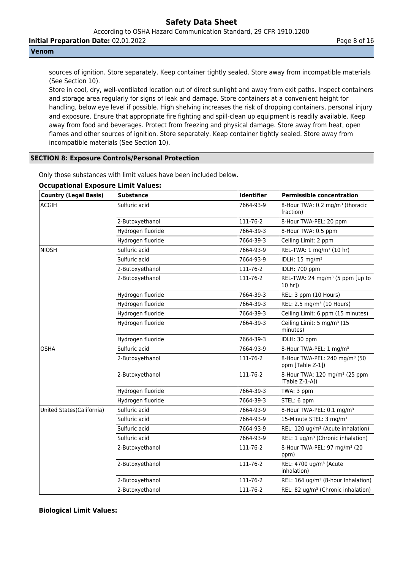According to OSHA Hazard Communication Standard, 29 CFR 1910.1200

**Initial Preparation Date:** 02.01.2022 **Page 8 of 16** 

## **Venom**

sources of ignition. Store separately. Keep container tightly sealed. Store away from incompatible materials (See Section 10).

Store in cool, dry, well-ventilated location out of direct sunlight and away from exit paths. Inspect containers and storage area regularly for signs of leak and damage. Store containers at a convenient height for handling, below eye level if possible. High shelving increases the risk of dropping containers, personal injury and exposure. Ensure that appropriate fire fighting and spill-clean up equipment is readily available. Keep away from food and beverages. Protect from freezing and physical damage. Store away from heat, open flames and other sources of ignition. Store separately. Keep container tightly sealed. Store away from incompatible materials (See Section 10).

# **SECTION 8: Exposure Controls/Personal Protection**

| <b>Country (Legal Basis)</b> | <b>Substance</b>  | Identifier | <b>Permissible concentration</b>                               |
|------------------------------|-------------------|------------|----------------------------------------------------------------|
| ACGIH                        | Sulfuric acid     | 7664-93-9  | 8-Hour TWA: 0.2 mg/m <sup>3</sup> (thoracic<br>(fraction       |
|                              | 2-Butoxyethanol   | 111-76-2   | 8-Hour TWA-PEL: 20 ppm                                         |
|                              | Hydrogen fluoride | 7664-39-3  | 8-Hour TWA: 0.5 ppm                                            |
|                              | Hydrogen fluoride | 7664-39-3  | Ceiling Limit: 2 ppm                                           |
| NIOSH                        | Sulfuric acid     | 7664-93-9  | REL-TWA: 1 mg/m <sup>3</sup> (10 hr)                           |
|                              | Sulfuric acid     | 7664-93-9  | IDLH: 15 mg/m <sup>3</sup>                                     |
|                              | 2-Butoxyethanol   | 111-76-2   | IDLH: 700 ppm                                                  |
|                              | 2-Butoxyethanol   | 111-76-2   | REL-TWA: 24 mg/m <sup>3</sup> (5 ppm [up to<br>10 hr])         |
|                              | Hydrogen fluoride | 7664-39-3  | REL: 3 ppm (10 Hours)                                          |
|                              | Hydrogen fluoride | 7664-39-3  | REL: 2.5 mg/m <sup>3</sup> (10 Hours)                          |
|                              | Hydrogen fluoride | 7664-39-3  | Ceiling Limit: 6 ppm (15 minutes)                              |
|                              | Hydrogen fluoride | 7664-39-3  | Ceiling Limit: 5 mg/m <sup>3</sup> (15<br>minutes)             |
|                              | Hydrogen fluoride | 7664-39-3  | IDLH: 30 ppm                                                   |
| <b>OSHA</b>                  | Sulfuric acid     | 7664-93-9  | 8-Hour TWA-PEL: 1 mg/m <sup>3</sup>                            |
|                              | 2-Butoxyethanol   | 111-76-2   | 8-Hour TWA-PEL: 240 mg/m <sup>3</sup> (50<br>ppm [Table Z-1])  |
|                              | 2-Butoxyethanol   | 111-76-2   | 8-Hour TWA: 120 mg/m <sup>3</sup> (25 ppm<br>[Table $Z-1-A$ ]) |
|                              | Hydrogen fluoride | 7664-39-3  | TWA: 3 ppm                                                     |
|                              | Hydrogen fluoride | 7664-39-3  | STEL: 6 ppm                                                    |
| United States (California)   | Sulfuric acid     | 7664-93-9  | 8-Hour TWA-PEL: 0.1 mg/m <sup>3</sup>                          |
|                              | Sulfuric acid     | 7664-93-9  | 15-Minute STEL: 3 mg/m <sup>3</sup>                            |
|                              | Sulfuric acid     | 7664-93-9  | REL: 120 ug/m <sup>3</sup> (Acute inhalation)                  |
|                              | Sulfuric acid     | 7664-93-9  | REL: 1 ug/m <sup>3</sup> (Chronic inhalation)                  |
|                              | 2-Butoxyethanol   | 111-76-2   | 8-Hour TWA-PEL: 97 mg/m <sup>3</sup> (20<br>ppm)               |
|                              | 2-Butoxyethanol   | 111-76-2   | REL: 4700 ug/m <sup>3</sup> (Acute<br>inhalation)              |
|                              | 2-Butoxyethanol   | 111-76-2   | REL: 164 ug/m <sup>3</sup> (8-hour Inhalation)                 |
|                              | 2-Butoxvethanol   | 111-76-2   | REL: 82 ug/m <sup>3</sup> (Chronic inhalation)                 |

Only those substances with limit values have been included below.

# **Occupational Exposure Limit Values:**

**Biological Limit Values:**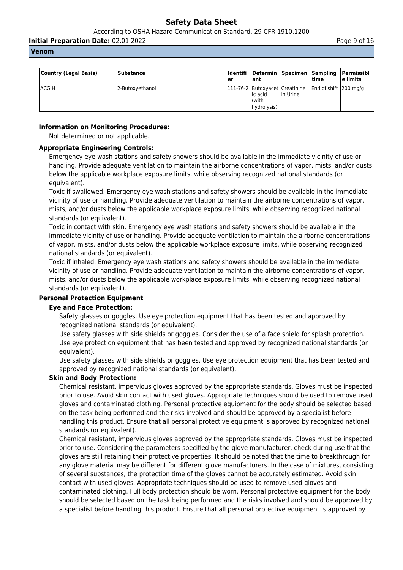According to OSHA Hazard Communication Standard, 29 CFR 1910.1200

**Initial Preparation Date:** 02.01.2022 **Page 9 of 16** Page 9 of 16

#### **Venom**

| Country (Legal Basis) | Substance       | ler | l ant                                    | Identifi Determin Specimen Sampling | time                                                         | Permissibl<br>l e limits |
|-----------------------|-----------------|-----|------------------------------------------|-------------------------------------|--------------------------------------------------------------|--------------------------|
| <b>ACGIH</b>          | 2-Butoxyethanol |     | lic acid<br>$\vert$ (with<br>hydrolysis) | lin Urine                           | 111-76-2   Butoxyacet   Creatinine   End of shift   200 mg/g |                          |

# **Information on Monitoring Procedures:**

Not determined or not applicable.

# **Appropriate Engineering Controls:**

Emergency eye wash stations and safety showers should be available in the immediate vicinity of use or handling. Provide adequate ventilation to maintain the airborne concentrations of vapor, mists, and/or dusts below the applicable workplace exposure limits, while observing recognized national standards (or equivalent).

Toxic if swallowed. Emergency eye wash stations and safety showers should be available in the immediate vicinity of use or handling. Provide adequate ventilation to maintain the airborne concentrations of vapor, mists, and/or dusts below the applicable workplace exposure limits, while observing recognized national standards (or equivalent).

Toxic in contact with skin. Emergency eye wash stations and safety showers should be available in the immediate vicinity of use or handling. Provide adequate ventilation to maintain the airborne concentrations of vapor, mists, and/or dusts below the applicable workplace exposure limits, while observing recognized national standards (or equivalent).

Toxic if inhaled. Emergency eye wash stations and safety showers should be available in the immediate vicinity of use or handling. Provide adequate ventilation to maintain the airborne concentrations of vapor, mists, and/or dusts below the applicable workplace exposure limits, while observing recognized national standards (or equivalent).

# **Personal Protection Equipment**

# **Eye and Face Protection:**

Safety glasses or goggles. Use eye protection equipment that has been tested and approved by recognized national standards (or equivalent).

Use safety glasses with side shields or goggles. Consider the use of a face shield for splash protection. Use eye protection equipment that has been tested and approved by recognized national standards (or equivalent).

Use safety glasses with side shields or goggles. Use eye protection equipment that has been tested and approved by recognized national standards (or equivalent).

# **Skin and Body Protection:**

Chemical resistant, impervious gloves approved by the appropriate standards. Gloves must be inspected prior to use. Avoid skin contact with used gloves. Appropriate techniques should be used to remove used gloves and contaminated clothing. Personal protective equipment for the body should be selected based on the task being performed and the risks involved and should be approved by a specialist before handling this product. Ensure that all personal protective equipment is approved by recognized national standards (or equivalent).

Chemical resistant, impervious gloves approved by the appropriate standards. Gloves must be inspected prior to use. Considering the parameters specified by the glove manufacturer, check during use that the gloves are still retaining their protective properties. It should be noted that the time to breakthrough for any glove material may be different for different glove manufacturers. In the case of mixtures, consisting of several substances, the protection time of the gloves cannot be accurately estimated. Avoid skin contact with used gloves. Appropriate techniques should be used to remove used gloves and contaminated clothing. Full body protection should be worn. Personal protective equipment for the body should be selected based on the task being performed and the risks involved and should be approved by a specialist before handling this product. Ensure that all personal protective equipment is approved by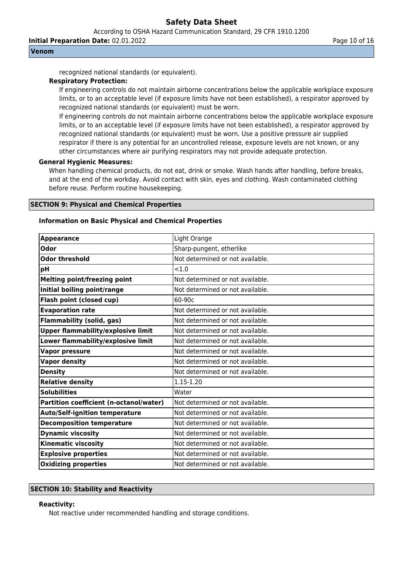According to OSHA Hazard Communication Standard, 29 CFR 1910.1200

**Initial Preparation Date:** 02.01.2022 **Page 10 of 16** Page 10 of 16

#### **Venom**

recognized national standards (or equivalent).

#### **Respiratory Protection:**

If engineering controls do not maintain airborne concentrations below the applicable workplace exposure limits, or to an acceptable level (if exposure limits have not been established), a respirator approved by recognized national standards (or equivalent) must be worn.

If engineering controls do not maintain airborne concentrations below the applicable workplace exposure limits, or to an acceptable level (if exposure limits have not been established), a respirator approved by recognized national standards (or equivalent) must be worn. Use a positive pressure air supplied respirator if there is any potential for an uncontrolled release, exposure levels are not known, or any other circumstances where air purifying respirators may not provide adequate protection.

#### **General Hygienic Measures:**

When handling chemical products, do not eat, drink or smoke. Wash hands after handling, before breaks, and at the end of the workday. Avoid contact with skin, eyes and clothing. Wash contaminated clothing before reuse. Perform routine housekeeping.

#### **SECTION 9: Physical and Chemical Properties**

#### **Information on Basic Physical and Chemical Properties**

| <b>Appearance</b>                         | Light Orange                     |
|-------------------------------------------|----------------------------------|
| Odor                                      | Sharp-pungent, etherlike         |
| <b>Odor threshold</b>                     | Not determined or not available. |
| рH                                        | < 1.0                            |
| <b>Melting point/freezing point</b>       | Not determined or not available. |
| Initial boiling point/range               | Not determined or not available. |
| Flash point (closed cup)                  | 60-90c                           |
| <b>Evaporation rate</b>                   | Not determined or not available. |
| <b>Flammability (solid, gas)</b>          | Not determined or not available. |
| <b>Upper flammability/explosive limit</b> | Not determined or not available. |
| Lower flammability/explosive limit        | Not determined or not available. |
| <b>Vapor pressure</b>                     | Not determined or not available. |
| <b>Vapor density</b>                      | Not determined or not available. |
| <b>Density</b>                            | Not determined or not available. |
| <b>Relative density</b>                   | 1.15-1.20                        |
| <b>Solubilities</b>                       | Water                            |
| Partition coefficient (n-octanol/water)   | Not determined or not available. |
| <b>Auto/Self-ignition temperature</b>     | Not determined or not available. |
| <b>Decomposition temperature</b>          | Not determined or not available. |
| <b>Dynamic viscosity</b>                  | Not determined or not available. |
| <b>Kinematic viscosity</b>                | Not determined or not available. |
| <b>Explosive properties</b>               | Not determined or not available. |
| <b>Oxidizing properties</b>               | Not determined or not available. |

# **SECTION 10: Stability and Reactivity**

#### **Reactivity:**

Not reactive under recommended handling and storage conditions.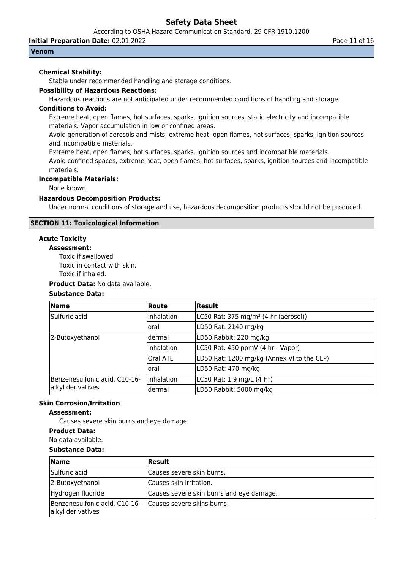According to OSHA Hazard Communication Standard, 29 CFR 1910.1200

**Initial Preparation Date:** 02.01.2022 **Page 11 of 16** Page 11 of 16

#### **Venom**

## **Chemical Stability:**

Stable under recommended handling and storage conditions.

## **Possibility of Hazardous Reactions:**

Hazardous reactions are not anticipated under recommended conditions of handling and storage.

# **Conditions to Avoid:**

Extreme heat, open flames, hot surfaces, sparks, ignition sources, static electricity and incompatible materials. Vapor accumulation in low or confined areas.

Avoid generation of aerosols and mists, extreme heat, open flames, hot surfaces, sparks, ignition sources and incompatible materials.

Extreme heat, open flames, hot surfaces, sparks, ignition sources and incompatible materials.

Avoid confined spaces, extreme heat, open flames, hot surfaces, sparks, ignition sources and incompatible materials.

#### **Incompatible Materials:**

None known.

## **Hazardous Decomposition Products:**

Under normal conditions of storage and use, hazardous decomposition products should not be produced.

## **SECTION 11: Toxicological Information**

# **Acute Toxicity**

# **Assessment:**

Toxic if swallowed

Toxic in contact with skin.

Toxic if inhaled.

# **Product Data:** No data available.

# **Substance Data:**

| Name                          | Route       | <b>Result</b>                                    |
|-------------------------------|-------------|--------------------------------------------------|
| Sulfuric acid                 | inhalation  | LC50 Rat: 375 mg/m <sup>3</sup> (4 hr (aerosol)) |
|                               | oral        | LD50 Rat: 2140 mg/kg                             |
| 2-Butoxyethanol               | dermal      | LD50 Rabbit: 220 mg/kg                           |
|                               | inhalation  | LC50 Rat: 450 ppmV (4 hr - Vapor)                |
|                               | Oral ATE    | LD50 Rat: 1200 mg/kg (Annex VI to the CLP)       |
|                               | oral        | LD50 Rat: 470 mg/kg                              |
| Benzenesulfonic acid, C10-16- | linhalation | LC50 Rat: 1.9 mg/L (4 Hr)                        |
| alkyl derivatives             | dermal      | LD50 Rabbit: 5000 mg/kg                          |

#### **Skin Corrosion/Irritation**

## **Assessment:**

Causes severe skin burns and eye damage.

#### **Product Data:**

No data available.

# **Substance Data:**

| <b>Name</b>                                        | <b>Result</b>                            |
|----------------------------------------------------|------------------------------------------|
| Sulfuric acid                                      | Causes severe skin burns.                |
| 2-Butoxyethanol                                    | Causes skin irritation.                  |
| Hydrogen fluoride                                  | Causes severe skin burns and eye damage. |
| Benzenesulfonic acid, C10-16-<br>alkyl derivatives | Causes severe skins burns.               |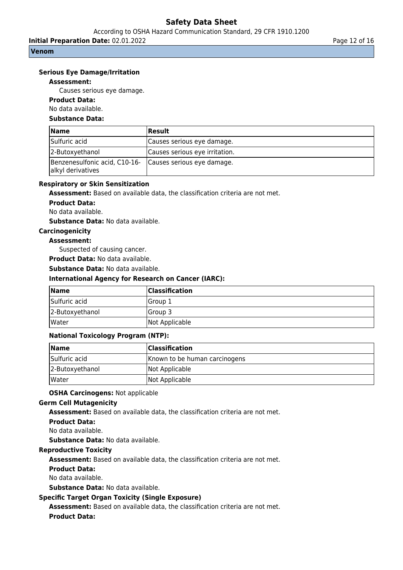According to OSHA Hazard Communication Standard, 29 CFR 1910.1200

**Initial Preparation Date:** 02.01.2022 **Page 12 of 16** Page 12 of 16

#### **Venom**

## **Serious Eye Damage/Irritation**

#### **Assessment:**

Causes serious eye damage.

# **Product Data:**

No data available.

## **Substance Data:**

| <b>Name</b>                                        | Result                         |
|----------------------------------------------------|--------------------------------|
| Sulfuric acid                                      | Causes serious eye damage.     |
| 2-Butoxyethanol                                    | Causes serious eye irritation. |
| Benzenesulfonic acid, C10-16-<br>alkyl derivatives | Causes serious eye damage.     |

#### **Respiratory or Skin Sensitization**

**Assessment:** Based on available data, the classification criteria are not met.

#### **Product Data:**

No data available.

**Substance Data:** No data available.

#### **Carcinogenicity**

#### **Assessment:**

Suspected of causing cancer.

**Product Data:** No data available.

**Substance Data:** No data available.

#### **International Agency for Research on Cancer (IARC):**

| Name            | <b>Classification</b> |
|-----------------|-----------------------|
| Sulfuric acid   | lGroup 1              |
| 2-Butoxyethanol | <b>IGroup 3</b>       |
| Water           | Not Applicable        |

#### **National Toxicology Program (NTP):**

| <b>Name</b>     | <b>Classification</b>         |
|-----------------|-------------------------------|
| Sulfuric acid   | Known to be human carcinogens |
| 2-Butoxyethanol | Not Applicable                |
| lWater          | Not Applicable                |

#### **OSHA Carcinogens:** Not applicable

# **Germ Cell Mutagenicity**

**Assessment:** Based on available data, the classification criteria are not met.

#### **Product Data:**

No data available.

**Substance Data:** No data available.

# **Reproductive Toxicity**

**Assessment:** Based on available data, the classification criteria are not met.

# **Product Data:**

No data available.

**Substance Data:** No data available.

# **Specific Target Organ Toxicity (Single Exposure)**

**Assessment:** Based on available data, the classification criteria are not met.

**Product Data:**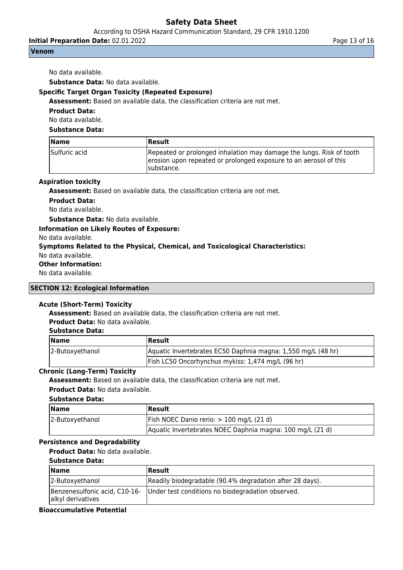According to OSHA Hazard Communication Standard, 29 CFR 1910.1200

**Initial Preparation Date:** 02.01.2022 **Page 13 of 16** Page 13 of 16

### **Venom**

No data available.

**Substance Data:** No data available.

# **Specific Target Organ Toxicity (Repeated Exposure)**

**Assessment:** Based on available data, the classification criteria are not met.

**Product Data:**

No data available.

# **Substance Data:**

| <b>Name</b>   | Result                                                                                                                                                   |
|---------------|----------------------------------------------------------------------------------------------------------------------------------------------------------|
| Sulfuric acid | Repeated or prolonged inhalation may damage the lungs. Risk of tooth<br>erosion upon repeated or prolonged exposure to an aerosol of this<br>Isubstance. |

## **Aspiration toxicity**

**Assessment:** Based on available data, the classification criteria are not met.

**Product Data:**

No data available.

**Substance Data:** No data available.

#### **Information on Likely Routes of Exposure:**

No data available.

#### **Symptoms Related to the Physical, Chemical, and Toxicological Characteristics:**

No data available.

# **Other Information:**

No data available.

## **SECTION 12: Ecological Information**

# **Acute (Short-Term) Toxicity**

**Assessment:** Based on available data, the classification criteria are not met.

# **Product Data:** No data available.

| <b>Substance Data:</b> |  |
|------------------------|--|
|------------------------|--|

| Name            | <b> Result</b>                                               |
|-----------------|--------------------------------------------------------------|
| 2-Butoxyethanol | Aquatic Invertebrates EC50 Daphnia magna: 1,550 mg/L (48 hr) |
|                 | Fish LC50 Oncorhynchus mykiss: 1,474 mg/L (96 hr)            |

### **Chronic (Long-Term) Toxicity**

**Assessment:** Based on available data, the classification criteria are not met. **Product Data:** No data available.

#### **Substance Data:**

| <b>Name</b>     | <b>Result</b>                                             |
|-----------------|-----------------------------------------------------------|
| 2-Butoxyethanol | Fish NOEC Danio rerio: $> 100$ mg/L (21 d)                |
|                 | Aquatic Invertebrates NOEC Daphnia magna: 100 mg/L (21 d) |

# **Persistence and Degradability**

**Product Data:** No data available.

#### **Substance Data:**

| $\blacksquare$ Name                                | Result                                                   |
|----------------------------------------------------|----------------------------------------------------------|
| 2-Butoxyethanol                                    | Readily biodegradable (90.4% degradation after 28 days). |
| Benzenesulfonic acid, C10-16-<br>alkyl derivatives | Under test conditions no biodegradation observed.        |

# **Bioaccumulative Potential**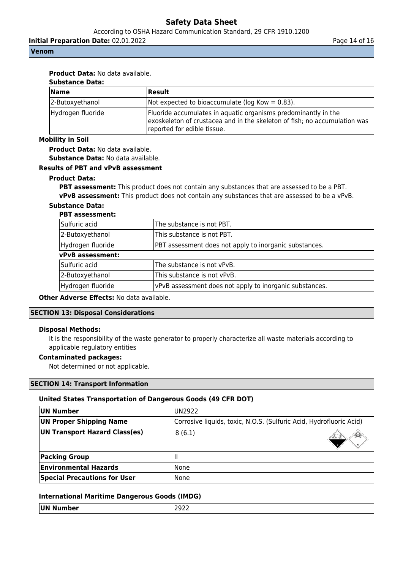According to OSHA Hazard Communication Standard, 29 CFR 1910.1200

**Initial Preparation Date:** 02.01.2022 **Page 14 of 16** Page 14 of 16

#### **Venom**

# **Product Data:** No data available.

| <b>Substance Data:</b> |                                                                                                                                                                            |  |
|------------------------|----------------------------------------------------------------------------------------------------------------------------------------------------------------------------|--|
| Name                   | Result                                                                                                                                                                     |  |
| 2-Butoxyethanol        | Not expected to bioaccumulate ( $log Kow = 0.83$ ).                                                                                                                        |  |
| Hydrogen fluoride      | Fluoride accumulates in aquatic organisms predominantly in the<br>exoskeleton of crustacea and in the skeleton of fish; no accumulation was<br>reported for edible tissue. |  |

#### **Mobility in Soil**

**Product Data:** No data available. **Substance Data:** No data available.

#### **Results of PBT and vPvB assessment**

#### **Product Data:**

**PBT assessment:** This product does not contain any substances that are assessed to be a PBT. **vPvB assessment:** This product does not contain any substances that are assessed to be a vPvB.

#### **Substance Data:**

#### **PBT assessment:**

| Sulfuric acid     | The substance is not PBT.                               |
|-------------------|---------------------------------------------------------|
| 2-Butoxyethanol   | This substance is not PBT.                              |
| Hydrogen fluoride | PBT assessment does not apply to inorganic substances.  |
| vPvB assessment:  |                                                         |
| Sulfuric acid     | The substance is not vPvB.                              |
| 2-Butoxyethanol   | This substance is not vPvB.                             |
| Hydrogen fluoride | vPvB assessment does not apply to inorganic substances. |

**Other Adverse Effects:** No data available.

#### **SECTION 13: Disposal Considerations**

#### **Disposal Methods:**

It is the responsibility of the waste generator to properly characterize all waste materials according to applicable regulatory entities

#### **Contaminated packages:**

Not determined or not applicable.

#### **SECTION 14: Transport Information**

#### **United States Transportation of Dangerous Goods (49 CFR DOT)**

| UN Number                               | IUN2922                                                             |  |  |
|-----------------------------------------|---------------------------------------------------------------------|--|--|
| UN Proper Shipping Name                 | Corrosive liquids, toxic, N.O.S. (Sulfuric Acid, Hydrofluoric Acid) |  |  |
| UN Transport Hazard Class(es)<br>8(6.1) |                                                                     |  |  |
| <b>Packing Group</b>                    |                                                                     |  |  |
| <b>Environmental Hazards</b>            | l None                                                              |  |  |
| <b>Special Precautions for User</b>     | None                                                                |  |  |

#### **International Maritime Dangerous Goods (IMDG)**

| <b>UN</b>   | -   |
|-------------|-----|
| ıber        | つし  |
| NU.         | --- |
| ----------- |     |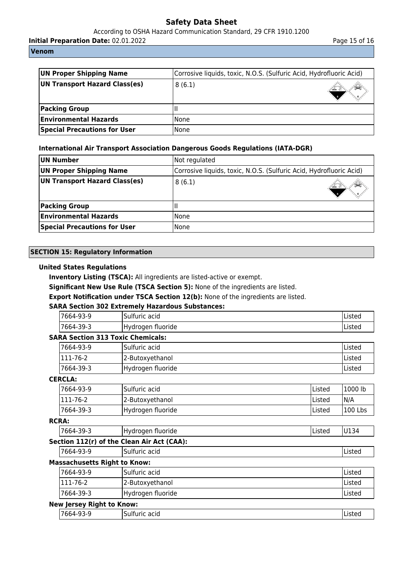According to OSHA Hazard Communication Standard, 29 CFR 1910.1200

**Initial Preparation Date:** 02.01.2022 **Page 15 of 16** Page 15 of 16

**Venom**

| UN Proper Shipping Name<br>Corrosive liquids, toxic, N.O.S. (Sulfuric Acid, Hydrofluoric Acid) |        |  |
|------------------------------------------------------------------------------------------------|--------|--|
| UN Transport Hazard Class(es)<br>8(6.1)                                                        |        |  |
| <b>Packing Group</b>                                                                           |        |  |
| <b>Environmental Hazards</b>                                                                   | l None |  |
| <b>Special Precautions for User</b>                                                            | None   |  |

# **International Air Transport Association Dangerous Goods Regulations (IATA-DGR)**

| UN Number                                                                                             | Not regulated |  |  |  |
|-------------------------------------------------------------------------------------------------------|---------------|--|--|--|
| <b>UN Proper Shipping Name</b><br>Corrosive liquids, toxic, N.O.S. (Sulfuric Acid, Hydrofluoric Acid) |               |  |  |  |
| UN Transport Hazard Class(es)                                                                         | 8(6.1)        |  |  |  |
| <b>Packing Group</b>                                                                                  |               |  |  |  |
| <b>Environmental Hazards</b>                                                                          | l None        |  |  |  |
| <b>Special Precautions for User</b>                                                                   | l None        |  |  |  |

# **SECTION 15: Regulatory Information**

# **United States Regulations**

**Inventory Listing (TSCA):** All ingredients are listed-active or exempt.

**Significant New Use Rule (TSCA Section 5):** None of the ingredients are listed.

**Export Notification under TSCA Section 12(b):** None of the ingredients are listed.

# **SARA Section 302 Extremely Hazardous Substances:**

| '7664-93-9        | -<br>acid<br>Sulfuric | Listed  |
|-------------------|-----------------------|---------|
| ່ 7664-_<br>-39-3 | fluoride<br>,Hydroger | IListea |

# **SARA Section 313 Toxic Chemicals:**

| 17664-93-9      | lSulfuric acid    | Listed |
|-----------------|-------------------|--------|
| $1111 - 76 - 2$ | 2-Butoxyethanol   | Listed |
| $ 7664-39-3$    | Hydrogen fluoride | Listed |

# **CERCLA:**

| 7664-93-9   | Sulfuric acid     | lListed | 1000 lb |
|-------------|-------------------|---------|---------|
| $ 111-76-2$ | 2-Butoxyethanol   | lListed | N/A     |
| 17664-39-3  | Hydrogen fluoride | lListed | 100 Lbs |

# **RCRA:**

| 7664-39-3                                  | Hydrogen fluoride | IListed |  |  |  |  |
|--------------------------------------------|-------------------|---------|--|--|--|--|
| Section 112(r) of the Clean Air Act (CAA): |                   |         |  |  |  |  |

7664-93-9 Sulfuric acid Listed

# **Massachusetts Right to Know:**

| '7664-93-9 | lSulfuric acid    | lListed       |
|------------|-------------------|---------------|
| 111-76-2   | 2-Butoxyethanol   | <b>Listed</b> |
| '7664-39-3 | Hydrogen fluoride | <b>Listed</b> |

# **New Jersey Right to Know:**

| __<br>ים ו<br>╮- | . .<br>-<br>٠Ι٥<br><br>$\mathbf{u}$<br>. |  |
|------------------|------------------------------------------|--|
|                  |                                          |  |